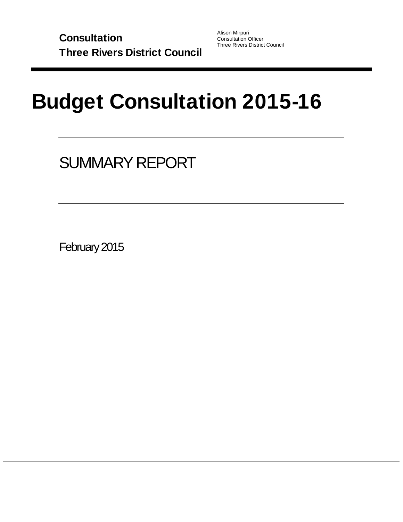Alison Mirpuri Consultation Officer Three Rivers District Council

# Budget Consultation 2015-16

# SUMMARY REPORT

February 2015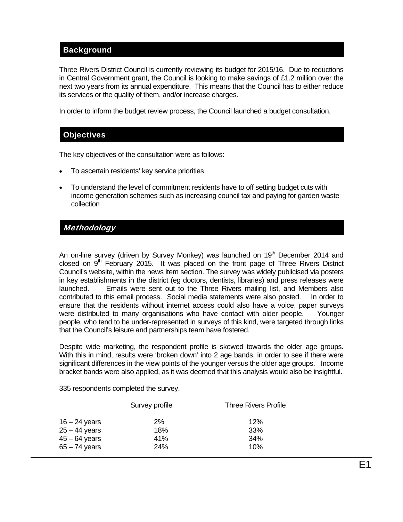# **Background**

Three Rivers District Council is currently reviewing its budget for 2015/16. Due to reductions in Central Government grant, the Council is looking to make savings of £1.2 million over the next two years from its annual expenditure. This means that the Council has to either reduce its services or the quality of them, and/or increase charges.

In order to inform the budget review process, the Council launched a budget consultation.

#### **Objectives**

The key objectives of the consultation were as follows:

- To ascertain residents' key service priorities
- To understand the level of commitment residents have to off setting budget cuts with income generation schemes such as increasing council tax and paying for garden waste collection

### **Methodology**

An on-line survey (driven by Survey Monkey) was launched on  $19<sup>th</sup>$  December 2014 and closed on  $9<sup>th</sup>$  February 2015. It was placed on the front page of Three Rivers District Council's website, within the news item section. The survey was widely publicised via posters in key establishments in the district (eg doctors, dentists, libraries) and press releases were launched. Emails were sent out to the Three Rivers mailing list, and Members also contributed to this email process. Social media statements were also posted. In order to ensure that the residents without internet access could also have a voice, paper surveys were distributed to many organisations who have contact with older people. Younger people, who tend to be under-represented in surveys of this kind, were targeted through links that the Council's leisure and partnerships team have fostered.

Despite wide marketing, the respondent profile is skewed towards the older age groups. With this in mind, results were 'broken down' into 2 age bands, in order to see if there were significant differences in the view points of the younger versus the older age groups. Income bracket bands were also applied, as it was deemed that this analysis would also be insightful.

335 respondents completed the survey.

|                                                                          | Survey profile             | <b>Three Rivers Profile</b> |
|--------------------------------------------------------------------------|----------------------------|-----------------------------|
| $16 - 24$ years<br>$25 - 44$ years<br>$45 - 64$ years<br>$65 - 74$ years | $2\%$<br>18%<br>41%<br>24% | 12%<br>33%<br>34%<br>10%    |
|                                                                          |                            |                             |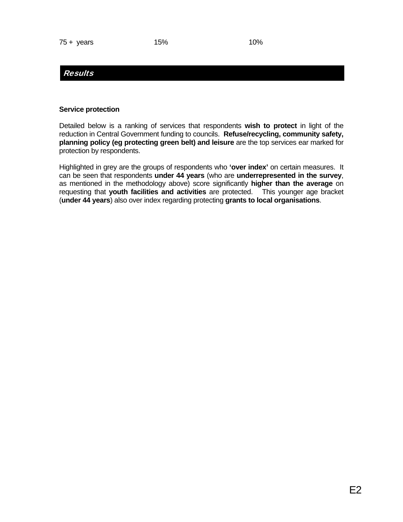# Results

#### **Service protection**

Detailed below is a ranking of services that respondents **wish to protect** in light of the reduction in Central Government funding to councils. **Refuse/recycling, community safety, planning policy (eg protecting green belt) and leisure** are the top services ear marked for protection by respondents.

Highlighted in grey are the groups of respondents who **'over index'** on certain measures. It can be seen that respondents **under 44 years** (who are **underrepresented in the survey**, as mentioned in the methodology above) score significantly **higher than the average** on requesting that **youth facilities and activities** are protected. This younger age bracket (**under 44 years**) also over index regarding protecting **grants to local organisations**.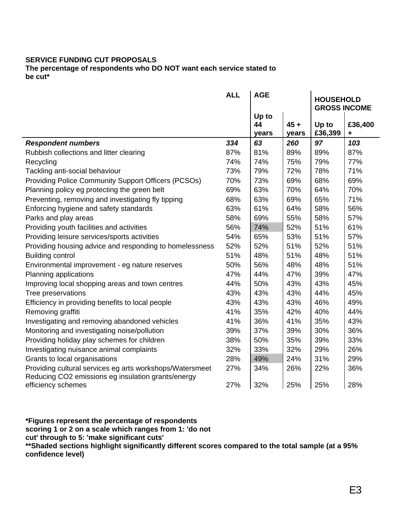#### **SERVICE FUNDING CUT PROPOSALS**

**The percentage of respondents who DO NOT want each service stated to be cut\*** 

|                                                                                                                | <b>ALL</b> | <b>AGE</b>  |        | <b>HOUSEHOLD</b><br><b>GROSS INCOME</b> |         |
|----------------------------------------------------------------------------------------------------------------|------------|-------------|--------|-----------------------------------------|---------|
|                                                                                                                |            | Up to<br>44 | $45 +$ | Up to                                   | £36,400 |
|                                                                                                                |            | years       | years  | £36,399                                 | ٠       |
| <b>Respondent numbers</b>                                                                                      | 334        | 63          | 260    | 97                                      | 103     |
| Rubbish collections and litter clearing                                                                        | 87%        | 81%         | 89%    | 89%                                     | 87%     |
| Recycling                                                                                                      | 74%        | 74%         | 75%    | 79%                                     | 77%     |
| Tackling anti-social behaviour                                                                                 | 73%        | 79%         | 72%    | 78%                                     | 71%     |
| Providing Police Community Support Officers (PCSOs)                                                            | 70%        | 73%         | 69%    | 68%                                     | 69%     |
| Planning policy eg protecting the green belt                                                                   | 69%        | 63%         | 70%    | 64%                                     | 70%     |
| Preventing, removing and investigating fly tipping                                                             | 68%        | 63%         | 69%    | 65%                                     | 71%     |
| Enforcing hygiene and safety standards                                                                         | 63%        | 61%         | 64%    | 58%                                     | 56%     |
| Parks and play areas                                                                                           | 58%        | 69%         | 55%    | 58%                                     | 57%     |
| Providing youth facilities and activities                                                                      | 56%        | 74%         | 52%    | 51%                                     | 61%     |
| Providing leisure services/sports activities                                                                   | 54%        | 65%         | 53%    | 51%                                     | 57%     |
| Providing housing advice and responding to homelessness                                                        | 52%        | 52%         | 51%    | 52%                                     | 51%     |
| <b>Building control</b>                                                                                        | 51%        | 48%         | 51%    | 48%                                     | 51%     |
| Environmental improvement - eg nature reserves                                                                 | 50%        | 56%         | 48%    | 48%                                     | 51%     |
| Planning applications                                                                                          | 47%        | 44%         | 47%    | 39%                                     | 47%     |
| Improving local shopping areas and town centres                                                                | 44%        | 50%         | 43%    | 43%                                     | 45%     |
| Tree preservations                                                                                             | 43%        | 43%         | 43%    | 44%                                     | 45%     |
| Efficiency in providing benefits to local people                                                               | 43%        | 43%         | 43%    | 46%                                     | 49%     |
| Removing graffiti                                                                                              | 41%        | 35%         | 42%    | 40%                                     | 44%     |
| Investigating and removing abandoned vehicles                                                                  | 41%        | 36%         | 41%    | 35%                                     | 43%     |
| Monitoring and investigating noise/pollution                                                                   | 39%        | 37%         | 39%    | 30%                                     | 36%     |
| Providing holiday play schemes for children                                                                    | 38%        | 50%         | 35%    | 39%                                     | 33%     |
| Investigating nuisance animal complaints                                                                       | 32%        | 33%         | 32%    | 29%                                     | 26%     |
| Grants to local organisations                                                                                  | 28%        | 49%         | 24%    | 31%                                     | 29%     |
| Providing cultural services eg arts workshops/Watersmeet<br>Reducing CO2 emissions eg insulation grants/energy | 27%        | 34%         | 26%    | 22%                                     | 36%     |
| efficiency schemes                                                                                             | 27%        | 32%         | 25%    | 25%                                     | 28%     |

**\*Figures represent the percentage of respondents scoring 1 or 2 on a scale which ranges from 1: 'do not cut' through to 5: 'make significant cuts'** 

**\*\*Shaded sections highlight significantly different scores compared to the total sample (at a 95% confidence level)**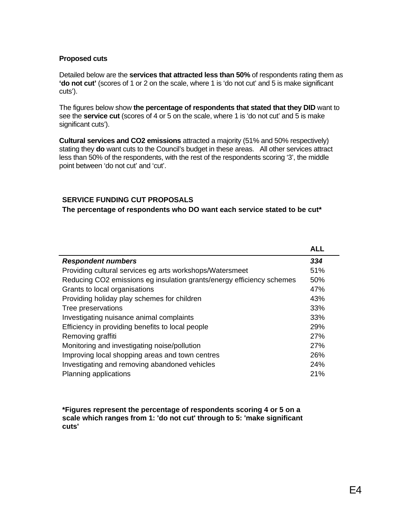#### **Proposed cuts**

Detailed below are the **services that attracted less than 50%** of respondents rating them as **'do not cut'** (scores of 1 or 2 on the scale, where 1 is 'do not cut' and 5 is make significant cuts').

The figures below show **the percentage of respondents that stated that they DID** want to see the **service cut** (scores of 4 or 5 on the scale, where 1 is 'do not cut' and 5 is make significant cuts').

**Cultural services and CO2 emissions** attracted a majority (51% and 50% respectively) stating they **do** want cuts to the Council's budget in these areas. All other services attract less than 50% of the respondents, with the rest of the respondents scoring '3', the middle point between 'do not cut' and 'cut'.

#### **SERVICE FUNDING CUT PROPOSALS**

**The percentage of respondents who DO want each service stated to be cut\*** 

|                                                                       | <b>ALL</b> |
|-----------------------------------------------------------------------|------------|
| <b>Respondent numbers</b>                                             | 334        |
| Providing cultural services eg arts workshops/Watersmeet              | 51%        |
| Reducing CO2 emissions eg insulation grants/energy efficiency schemes | 50%        |
| Grants to local organisations                                         | 47%        |
| Providing holiday play schemes for children                           | 43%        |
| Tree preservations                                                    | 33%        |
| Investigating nuisance animal complaints                              | 33%        |
| Efficiency in providing benefits to local people                      | 29%        |
| Removing graffiti                                                     | 27%        |
| Monitoring and investigating noise/pollution                          | 27%        |
| Improving local shopping areas and town centres                       | 26%        |
| Investigating and removing abandoned vehicles                         | 24%        |
| Planning applications                                                 | 21%        |

**\*Figures represent the percentage of respondents scoring 4 or 5 on a scale which ranges from 1: 'do not cut' through to 5: 'make significant cuts'**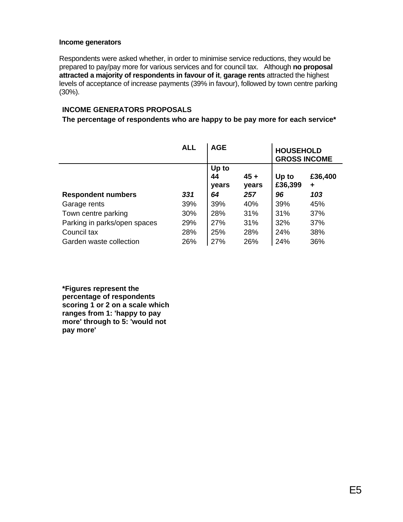#### **Income generators**

Respondents were asked whether, in order to minimise service reductions, they would be prepared to pay/pay more for various services and for council tax. Although **no proposal attracted a majority of respondents in favour of it**, **garage rents** attracted the highest levels of acceptance of increase payments (39% in favour), followed by town centre parking (30%).

#### **INCOME GENERATORS PROPOSALS**

#### **The percentage of respondents who are happy to be pay more for each service\***

|                              | <b>ALL</b> | <b>AGE</b>           |                 | <b>HOUSEHOLD</b><br><b>GROSS INCOME</b> |              |  |
|------------------------------|------------|----------------------|-----------------|-----------------------------------------|--------------|--|
|                              |            | Up to<br>44<br>years | $45 +$<br>years | Up to<br>£36,399                        | £36,400<br>٠ |  |
| <b>Respondent numbers</b>    | 331        | 64                   | 257             | 96                                      | 103          |  |
| Garage rents                 | 39%        | 39%                  | 40%             | 39%                                     | 45%          |  |
| Town centre parking          | 30%        | 28%                  | 31%             | 31%                                     | 37%          |  |
| Parking in parks/open spaces | 29%        | <b>27%</b>           | 31%             | 32%                                     | 37%          |  |
| Council tax                  | 28%        | 25%                  | 28%             | 24%                                     | 38%          |  |
| Garden waste collection      | 26%        | 27%                  | 26%             | 24%                                     | 36%          |  |

**\*Figures represent the percentage of respondents scoring 1 or 2 on a scale which ranges from 1: 'happy to pay more' through to 5: 'would not pay more'**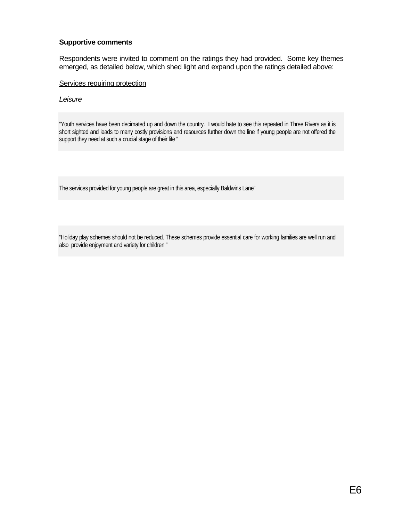#### **Supportive comments**

Respondents were invited to comment on the ratings they had provided. Some key themes emerged, as detailed below, which shed light and expand upon the ratings detailed above:

Services requiring protection

*Leisure* 

"Youth services have been decimated up and down the country. I would hate to see this repeated in Three Rivers as it is short sighted and leads to many costly provisions and resources further down the line if young people are not offered the support they need at such a crucial stage of their life "

The services provided for young people are great in this area, especially Baldwins Lane"

"Holiday play schemes should not be reduced. These schemes provide essential care for working families are well run and also provide enjoyment and variety for children "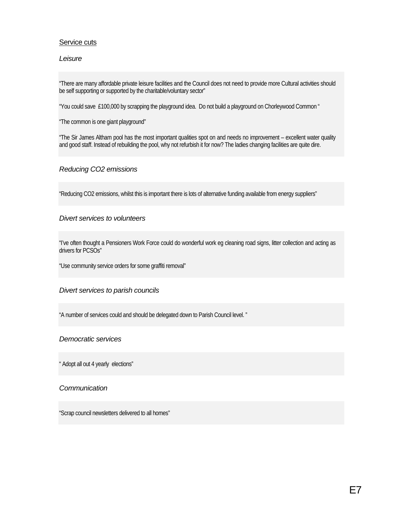#### Service cuts

#### *Leisure*

"There are many affordable private leisure facilities and the Council does not need to provide more Cultural activities should be self supporting or supported by the charitable/voluntary sector"

"You could save £100,000 by scrapping the playground idea. Do not build a playground on Chorleywood Common "

"The common is one giant playground"

"The Sir James Altham pool has the most important qualities spot on and needs no improvement – excellent water quality and good staff. Instead of rebuilding the pool, why not refurbish it for now? The ladies changing facilities are quite dire.

#### *Reducing CO2 emissions*

"Reducing CO2 emissions, whilst this is important there is lots of alternative funding available from energy suppliers"

#### *Divert services to volunteers*

"I've often thought a Pensioners Work Force could do wonderful work eg cleaning road signs, litter collection and acting as drivers for PCSO<sub>S"</sub>

"Use community service orders for some graffiti removal"

#### *Divert services to parish councils*

"A number of services could and should be delegated down to Parish Council level. "

#### *Democratic services*

" Adopt all out 4 yearly elections"

#### *Communication*

"Scrap council newsletters delivered to all homes"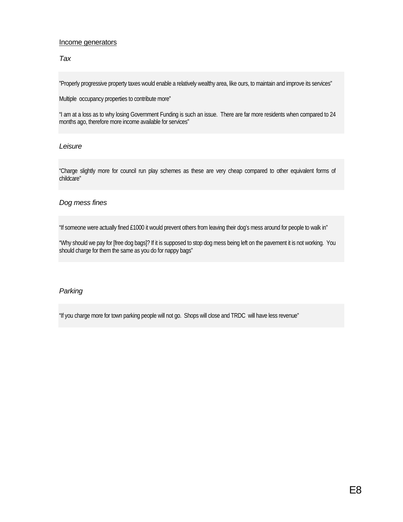#### Income generators

#### *Tax*

"Properly progressive property taxes would enable a relatively wealthy area, like ours, to maintain and improve its services"

Multiple occupancy properties to contribute more"

"I am at a loss as to why losing Government Funding is such an issue. There are far more residents when compared to 24 months ago, therefore more income available for services"

#### *Leisure*

"Charge slightly more for council run play schemes as these are very cheap compared to other equivalent forms of childcare"

#### *Dog mess fines*

"If someone were actually fined £1000 it would prevent others from leaving their dog's mess around for people to walk in"

"Why should we pay for [free dog bags]? If it is supposed to stop dog mess being left on the pavement it is not working. You should charge for them the same as you do for nappy bags"

#### *Parking*

"If you charge more for town parking people will not go. Shops will close and TRDC will have less revenue"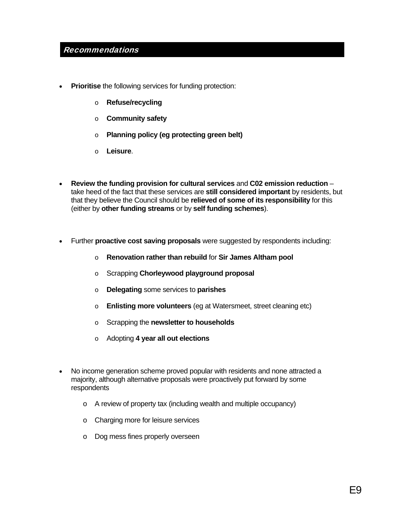# Recommendations

- **Prioritise** the following services for funding protection:
	- o **Refuse/recycling**
	- o **Community safety**
	- o **Planning policy (eg protecting green belt)**
	- o **Leisure**.
- **Review the funding provision for cultural services** and **C02 emission reduction** take heed of the fact that these services are **still considered important** by residents, but that they believe the Council should be **relieved of some of its responsibility** for this (either by **other funding streams** or by **self funding schemes**).
- Further **proactive cost saving proposals** were suggested by respondents including:
	- o **Renovation rather than rebuild** for **Sir James Altham pool**
	- o Scrapping **Chorleywood playground proposal**
	- o **Delegating** some services to **parishes**
	- o **Enlisting more volunteers** (eg at Watersmeet, street cleaning etc)
	- o Scrapping the **newsletter to households**
	- o Adopting **4 year all out elections**
- No income generation scheme proved popular with residents and none attracted a majority, although alternative proposals were proactively put forward by some respondents
	- o A review of property tax (including wealth and multiple occupancy)
	- o Charging more for leisure services
	- o Dog mess fines properly overseen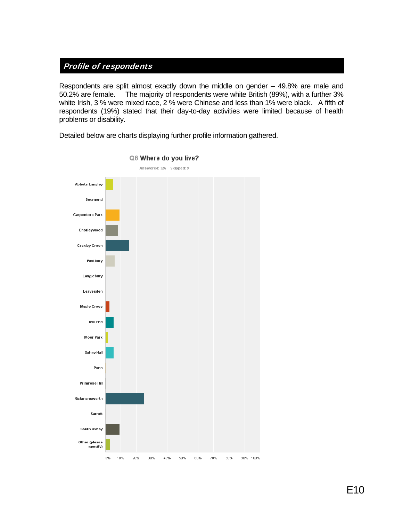# Profile of respondents

Respondents are split almost exactly down the middle on gender – 49.8% are male and 50.2% are female. The majority of respondents were white British (89%), with a further 3% white Irish, 3 % were mixed race, 2 % were Chinese and less than 1% were black. A fifth of respondents (19%) stated that their day-to-day activities were limited because of health problems or disability.

Detailed below are charts displaying further profile information gathered.



Q6 Where do you live?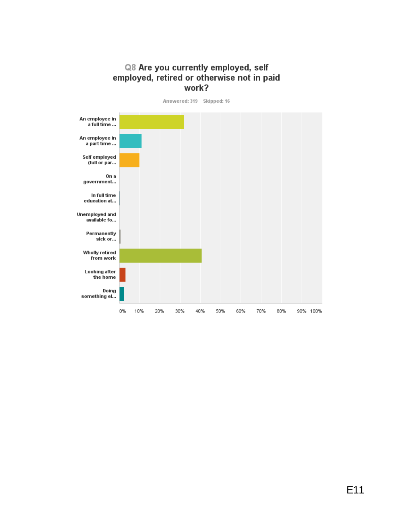# Q8 Are you currently employed, self employed, retired or otherwise not in paid work?